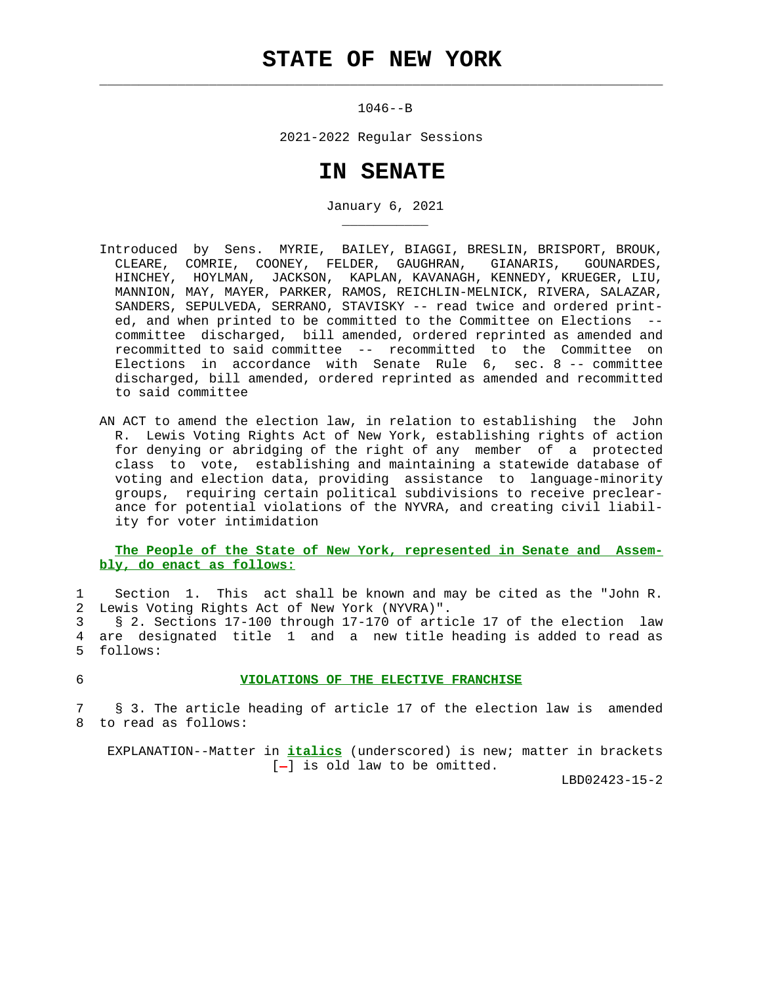# **STATE OF NEW YORK**

 $\mathcal{L}_\text{max} = \frac{1}{2} \sum_{i=1}^{n} \frac{1}{2} \sum_{i=1}^{n} \frac{1}{2} \sum_{i=1}^{n} \frac{1}{2} \sum_{i=1}^{n} \frac{1}{2} \sum_{i=1}^{n} \frac{1}{2} \sum_{i=1}^{n} \frac{1}{2} \sum_{i=1}^{n} \frac{1}{2} \sum_{i=1}^{n} \frac{1}{2} \sum_{i=1}^{n} \frac{1}{2} \sum_{i=1}^{n} \frac{1}{2} \sum_{i=1}^{n} \frac{1}{2} \sum_{i=1}^{n} \frac{1$ 

\_\_\_\_\_\_\_\_\_\_\_

1046--B

2021-2022 Regular Sessions

## **IN SENATE**

January 6, 2021

- Introduced by Sens. MYRIE, BAILEY, BIAGGI, BRESLIN, BRISPORT, BROUK, CLEARE, COMRIE, COONEY, FELDER, GAUGHRAN, GIANARIS, GOUNARDES, HINCHEY, HOYLMAN, JACKSON, KAPLAN, KAVANAGH, KENNEDY, KRUEGER, LIU, MANNION, MAY, MAYER, PARKER, RAMOS, REICHLIN-MELNICK, RIVERA, SALAZAR, SANDERS, SEPULVEDA, SERRANO, STAVISKY -- read twice and ordered print ed, and when printed to be committed to the Committee on Elections - committee discharged, bill amended, ordered reprinted as amended and recommitted to said committee -- recommitted to the Committee on Elections in accordance with Senate Rule 6, sec. 8 -- committee discharged, bill amended, ordered reprinted as amended and recommitted to said committee
- AN ACT to amend the election law, in relation to establishing the John R. Lewis Voting Rights Act of New York, establishing rights of action for denying or abridging of the right of any member of a protected class to vote, establishing and maintaining a statewide database of voting and election data, providing assistance to language-minority groups, requiring certain political subdivisions to receive preclear ance for potential violations of the NYVRA, and creating civil liabil ity for voter intimidation

#### **The People of the State of New York, represented in Senate and Assem bly, do enact as follows:**

 1 Section 1. This act shall be known and may be cited as the "John R. 2 Lewis Voting Rights Act of New York (NYVRA)".

 3 § 2. Sections 17-100 through 17-170 of article 17 of the election law 4 are designated title 1 and a new title heading is added to read as 5 follows:

#### 6 **VIOLATIONS OF THE ELECTIVE FRANCHISE**

 7 § 3. The article heading of article 17 of the election law is amended 8 to read as follows:

 EXPLANATION--Matter in **italics** (underscored) is new; matter in brackets  $[-]$  is old law to be omitted.

LBD02423-15-2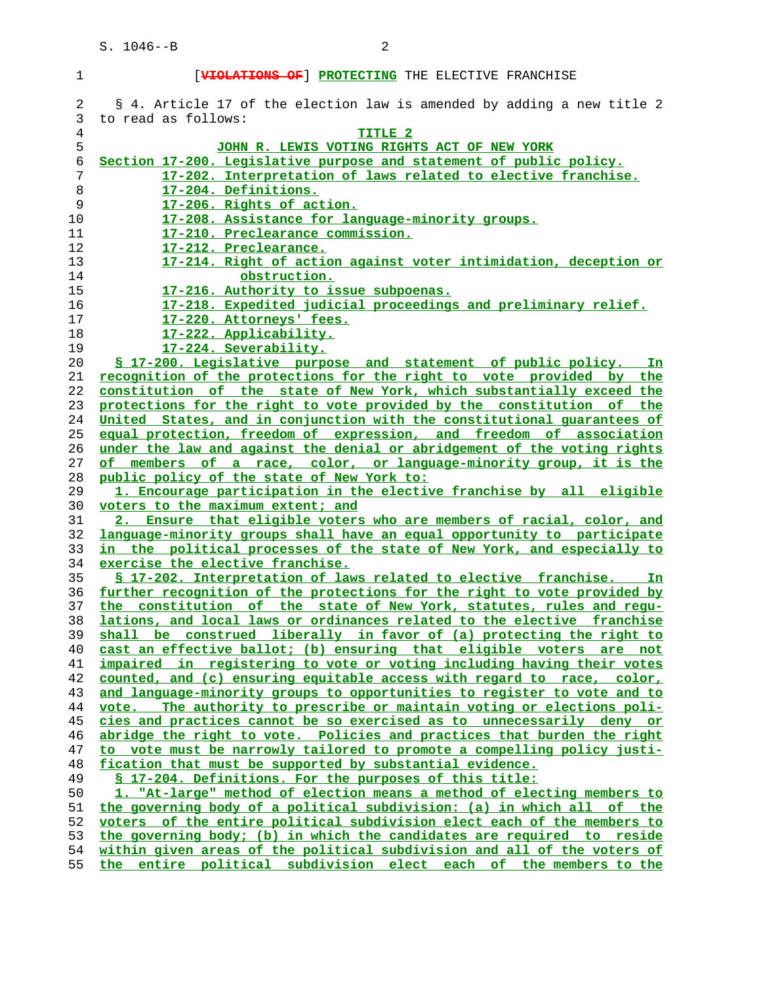### 1 [**VIOLATIONS OF**] **PROTECTING** THE ELECTIVE FRANCHISE 2 § 4. Article 17 of the election law is amended by adding a new title 2 3 to read as follows: **TITLE 2 JOHN R. LEWIS VOTING RIGHTS ACT OF NEW YORK Section 17-200. Legislative purpose and statement of public policy. 17-202. Interpretation of laws related to elective franchise. 17-204. Definitions. 17-206. Rights of action. 17-208. Assistance for language-minority groups. 17-210. Preclearance commission. 17-212. Preclearance. 17-214. Right of action against voter intimidation, deception or obstruction. 17-216. Authority to issue subpoenas. 17-218. Expedited judicial proceedings and preliminary relief. 17-220. Attorneys' fees. 17-222. Applicability. 17-224. Severability. § 17-200. Legislative purpose and statement of public policy. In recognition of the protections for the right to vote provided by the constitution of the state of New York, which substantially exceed the protections for the right to vote provided by the constitution of the United States, and in conjunction with the constitutional guarantees of equal protection, freedom of expression, and freedom of association under the law and against the denial or abridgement of the voting rights of members of a race, color, or language-minority group, it is the public policy of the state of New York to: 1. Encourage participation in the elective franchise by all eligible voters to the maximum extent; and 2. Ensure that eligible voters who are members of racial, color, and language-minority groups shall have an equal opportunity to participate in the political processes of the state of New York, and especially to exercise the elective franchise. § 17-202. Interpretation of laws related to elective franchise. In further recognition of the protections for the right to vote provided by the constitution of the state of New York, statutes, rules and regu- lations, and local laws or ordinances related to the elective franchise shall be construed liberally in favor of (a) protecting the right to cast an effective ballot; (b) ensuring that eligible voters are not impaired in registering to vote or voting including having their votes counted, and (c) ensuring equitable access with regard to race, color, and language-minority groups to opportunities to register to vote and to vote. The authority to prescribe or maintain voting or elections poli- cies and practices cannot be so exercised as to unnecessarily deny or abridge the right to vote. Policies and practices that burden the right to vote must be narrowly tailored to promote a compelling policy justi- fication that must be supported by substantial evidence. § 17-204. Definitions. For the purposes of this title: 1. "At-large" method of election means a method of electing members to the governing body of a political subdivision: (a) in which all of the voters of the entire political subdivision elect each of the members to the governing body; (b) in which the candidates are required to reside within given areas of the political subdivision and all of the voters of**

**the entire political subdivision elect each of the members to the**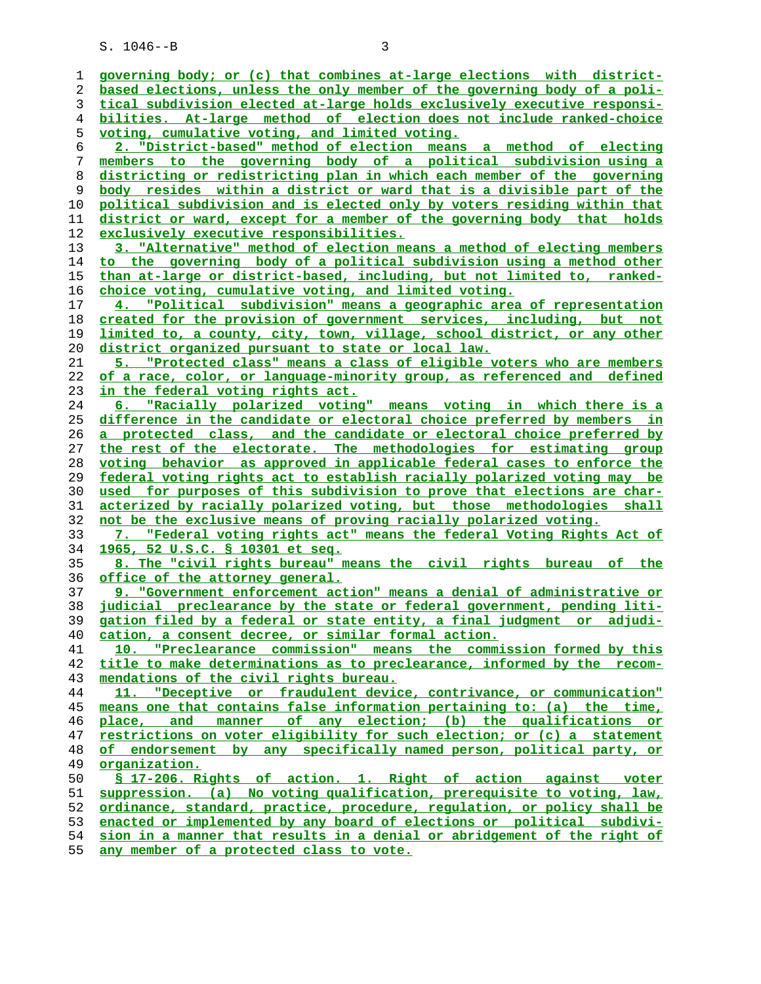| 1        | governing body; or (c) that combines at-large elections with district-                                                                             |
|----------|----------------------------------------------------------------------------------------------------------------------------------------------------|
| 2        | based elections, unless the only member of the governing body of a poli-                                                                           |
| 3        | tical subdivision elected at-large holds exclusively executive responsi-                                                                           |
| 4        | bilities. At-large method of election does not include ranked-choice                                                                               |
| 5        | voting, cumulative voting, and limited voting.                                                                                                     |
| 6        | 2. "District-based" method of election means a method of electing                                                                                  |
| 7        | members to the governing body of a political subdivision using a                                                                                   |
| 8        | districting or redistricting plan in which each member of the governing                                                                            |
| 9        | body resides within a district or ward that is a divisible part of the                                                                             |
| 10       | political subdivision and is elected only by voters residing within that                                                                           |
| 11       | district or ward, except for a member of the governing body that holds                                                                             |
| 12       | exclusively executive responsibilities.                                                                                                            |
| 13       | 3. "Alternative" method of election means a method of electing members                                                                             |
| 14       | to the governing body of a political subdivision using a method other                                                                              |
| 15       | than at-large or district-based, including, but not limited to, ranked-                                                                            |
| 16       | choice voting, cumulative voting, and limited voting.                                                                                              |
| 17       | 4. "Political subdivision" means a geographic area of representation                                                                               |
| 18       | created for the provision of government services, including, but not                                                                               |
| 19       | limited to, a county, city, town, village, school district, or any other                                                                           |
| 20       | district organized pursuant to state or local law.                                                                                                 |
| 21       | 5. "Protected class" means a class of eligible voters who are members                                                                              |
| 22       | of a race, color, or language-minority group, as referenced and defined                                                                            |
| 23       | in the federal voting rights act.                                                                                                                  |
| 24       | 6. "Racially polarized voting" means voting in which there is a                                                                                    |
| 25       | difference in the candidate or electoral choice preferred by members in                                                                            |
| 26       | a protected class, and the candidate or electoral choice preferred by                                                                              |
| 27       | the rest of the electorate. The methodologies for estimating group                                                                                 |
|          |                                                                                                                                                    |
| 28       | voting behavior as approved in applicable federal cases to enforce the                                                                             |
| 29<br>30 | federal voting rights act to establish racially polarized voting may be<br>used for purposes of this subdivision to prove that elections are char- |
| 31       | acterized by racially polarized voting, but those methodologies shall                                                                              |
| 32       | not be the exclusive means of proving racially polarized voting.                                                                                   |
| 33       | 7. "Federal voting rights act" means the federal Voting Rights Act of                                                                              |
| 34       | 1965, 52 U.S.C. § 10301 et seq.                                                                                                                    |
| 35       | 8. The "civil rights bureau" means the civil rights bureau of the                                                                                  |
| 36       | <u>office of the attorney general.</u>                                                                                                             |
| 37       | 9. "Government enforcement action" means a denial of administrative or                                                                             |
| 38       | judicial preclearance by the state or federal government, pending liti-                                                                            |
| 39       | gation filed by a federal or state entity, a final judgment or adjudi-                                                                             |
| 40       | cation, a consent decree, or similar formal action.                                                                                                |
| 41       | 10. "Preclearance commission" means the commission formed by this                                                                                  |
| 42       | title to make determinations as to preclearance, informed by the recom-                                                                            |
| 43       | mendations of the civil rights bureau.                                                                                                             |
| 44       | 11. "Deceptive or fraudulent device, contrivance, or communication"                                                                                |
| 45       | means one that contains false information pertaining to: (a) the time,                                                                             |
| 46       | place, and manner of any election; (b) the qualifications or                                                                                       |
| 47       | restrictions on voter eligibility for such election; or (c) a statement                                                                            |
| 48       | of endorsement by any specifically named person, political party, or                                                                               |
| 49       | organization.                                                                                                                                      |
| 50       | \$ 17-206. Rights of action. 1. Right of action against voter                                                                                      |
| 51       | suppression. (a) No voting qualification, prerequisite to voting, law,                                                                             |
| 52       | ordinance, standard, practice, procedure, requlation, or policy shall be                                                                           |
| 53       | enacted or implemented by any board of elections or political subdivi-                                                                             |
| 54       | sion in a manner that results in a denial or abridgement of the right of                                                                           |
| 55       | any member of a protected class to vote.                                                                                                           |
|          |                                                                                                                                                    |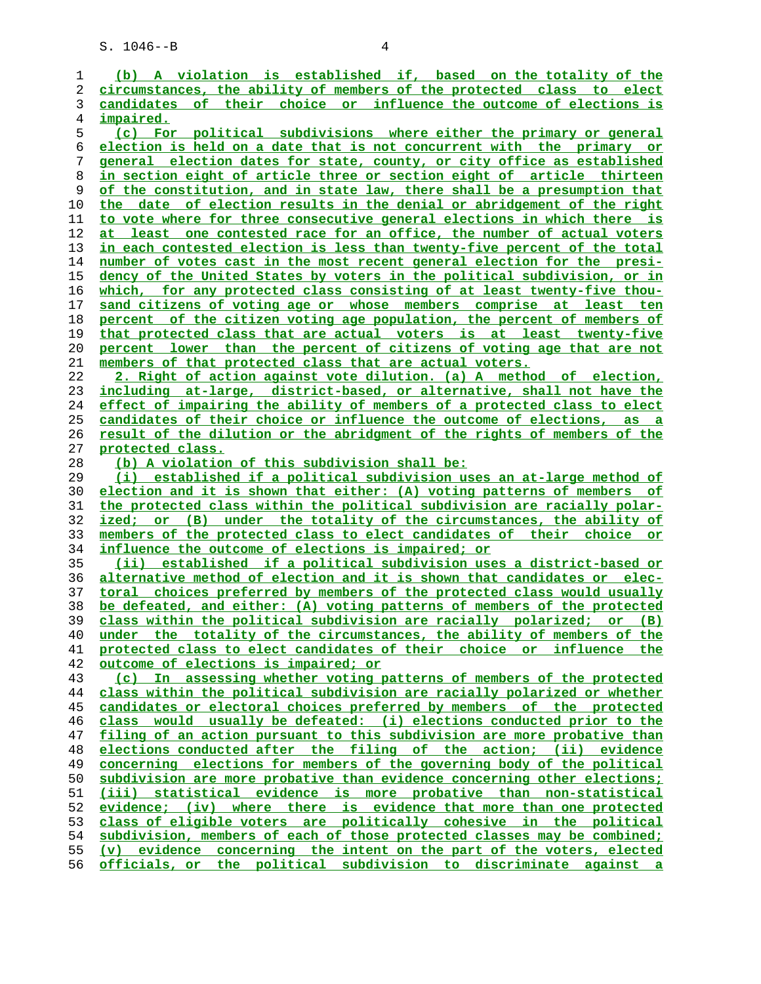**(b) A violation is established if, based on the totality of the circumstances, the ability of members of the protected class to elect candidates of their choice or influence the outcome of elections is impaired. (c) For political subdivisions where either the primary or general election is held on a date that is not concurrent with the primary or general election dates for state, county, or city office as established in section eight of article three or section eight of article thirteen of the constitution, and in state law, there shall be a presumption that the date of election results in the denial or abridgement of the right to vote where for three consecutive general elections in which there is at least one contested race for an office, the number of actual voters in each contested election is less than twenty-five percent of the total number of votes cast in the most recent general election for the presi- dency of the United States by voters in the political subdivision, or in which, for any protected class consisting of at least twenty-five thou- sand citizens of voting age or whose members comprise at least ten percent of the citizen voting age population, the percent of members of that protected class that are actual voters is at least twenty-five percent lower than the percent of citizens of voting age that are not members of that protected class that are actual voters. 2. Right of action against vote dilution. (a) A method of election, including at-large, district-based, or alternative, shall not have the effect of impairing the ability of members of a protected class to elect candidates of their choice or influence the outcome of elections, as a result of the dilution or the abridgment of the rights of members of the protected class. (b) A violation of this subdivision shall be: (i) established if a political subdivision uses an at-large method of election and it is shown that either: (A) voting patterns of members of the protected class within the political subdivision are racially polar- ized; or (B) under the totality of the circumstances, the ability of members of the protected class to elect candidates of their choice or influence the outcome of elections is impaired; or (ii) established if a political subdivision uses a district-based or alternative method of election and it is shown that candidates or elec- toral choices preferred by members of the protected class would usually be defeated, and either: (A) voting patterns of members of the protected class within the political subdivision are racially polarized; or (B) under the totality of the circumstances, the ability of members of the protected class to elect candidates of their choice or influence the outcome of elections is impaired; or (c) In assessing whether voting patterns of members of the protected class within the political subdivision are racially polarized or whether candidates or electoral choices preferred by members of the protected class would usually be defeated: (i) elections conducted prior to the filing of an action pursuant to this subdivision are more probative than elections conducted after the filing of the action; (ii) evidence concerning elections for members of the governing body of the political** subdivision are more probative than evidence concerning other elections; **(iii) statistical evidence is more probative than non-statistical evidence; (iv) where there is evidence that more than one protected class of eligible voters are politically cohesive in the political subdivision, members of each of those protected classes may be combined; (v) evidence concerning the intent on the part of the voters, elected officials, or the political subdivision to discriminate against a**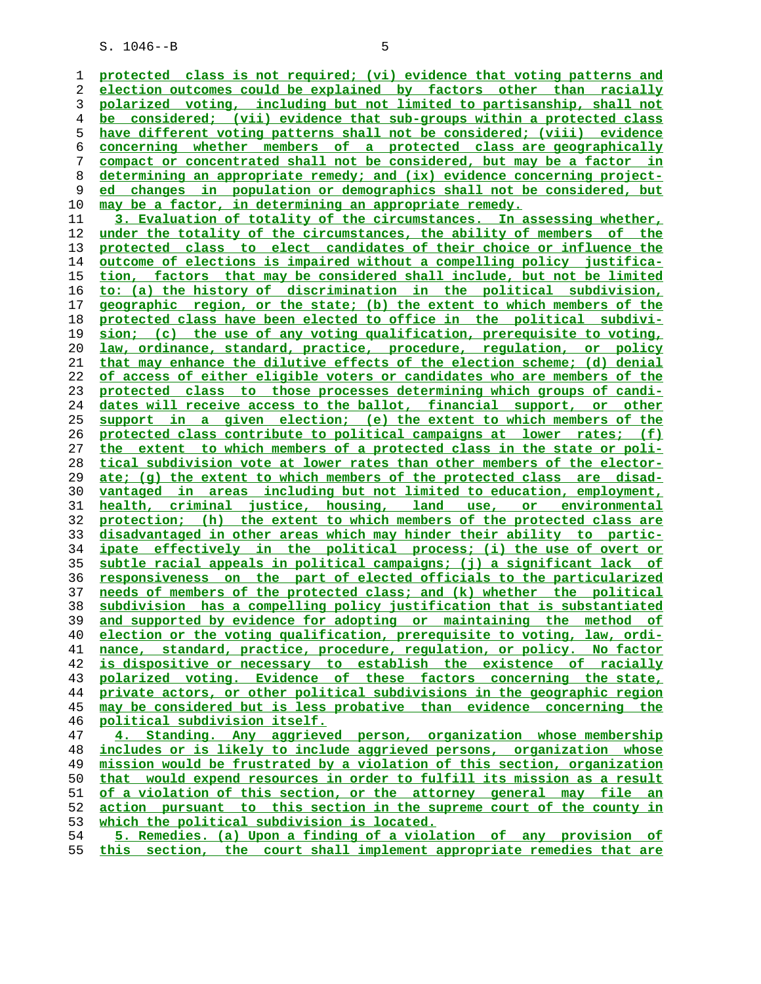**protected class is not required; (vi) evidence that voting patterns and election outcomes could be explained by factors other than racially polarized voting, including but not limited to partisanship, shall not be considered; (vii) evidence that sub-groups within a protected class have different voting patterns shall not be considered; (viii) evidence concerning whether members of a protected class are geographically compact or concentrated shall not be considered, but may be a factor in determining an appropriate remedy; and (ix) evidence concerning project- ed changes in population or demographics shall not be considered, but may be a factor, in determining an appropriate remedy. 3. Evaluation of totality of the circumstances. In assessing whether, under the totality of the circumstances, the ability of members of the protected class to elect candidates of their choice or influence the outcome of elections is impaired without a compelling policy justifica- tion, factors that may be considered shall include, but not be limited to: (a) the history of discrimination in the political subdivision, geographic region, or the state; (b) the extent to which members of the protected class have been elected to office in the political subdivi- sion; (c) the use of any voting qualification, prerequisite to voting, law, ordinance, standard, practice, procedure, regulation, or policy that may enhance the dilutive effects of the election scheme; (d) denial of access of either eligible voters or candidates who are members of the protected class to those processes determining which groups of candi- dates will receive access to the ballot, financial support, or other support in a given election; (e) the extent to which members of the protected class contribute to political campaigns at lower rates; (f) the extent to which members of a protected class in the state or poli- tical subdivision vote at lower rates than other members of the elector- ate; (g) the extent to which members of the protected class are disad- vantaged in areas including but not limited to education, employment, health, criminal justice, housing, land use, or environmental protection; (h) the extent to which members of the protected class are disadvantaged in other areas which may hinder their ability to partic- ipate effectively in the political process; (i) the use of overt or subtle racial appeals in political campaigns; (j) a significant lack of responsiveness on the part of elected officials to the particularized needs of members of the protected class; and (k) whether the political subdivision has a compelling policy justification that is substantiated and supported by evidence for adopting or maintaining the method of election or the voting qualification, prerequisite to voting, law, ordi- nance, standard, practice, procedure, regulation, or policy. No factor is dispositive or necessary to establish the existence of racially polarized voting. Evidence of these factors concerning the state, private actors, or other political subdivisions in the geographic region may be considered but is less probative than evidence concerning the political subdivision itself. 4. Standing. Any aggrieved person, organization whose membership includes or is likely to include aggrieved persons, organization whose mission would be frustrated by a violation of this section, organization that would expend resources in order to fulfill its mission as a result of a violation of this section, or the attorney general may file an action pursuant to this section in the supreme court of the county in**

**which the political subdivision is located.**

**5. Remedies. (a) Upon a finding of a violation of any provision of this section, the court shall implement appropriate remedies that are**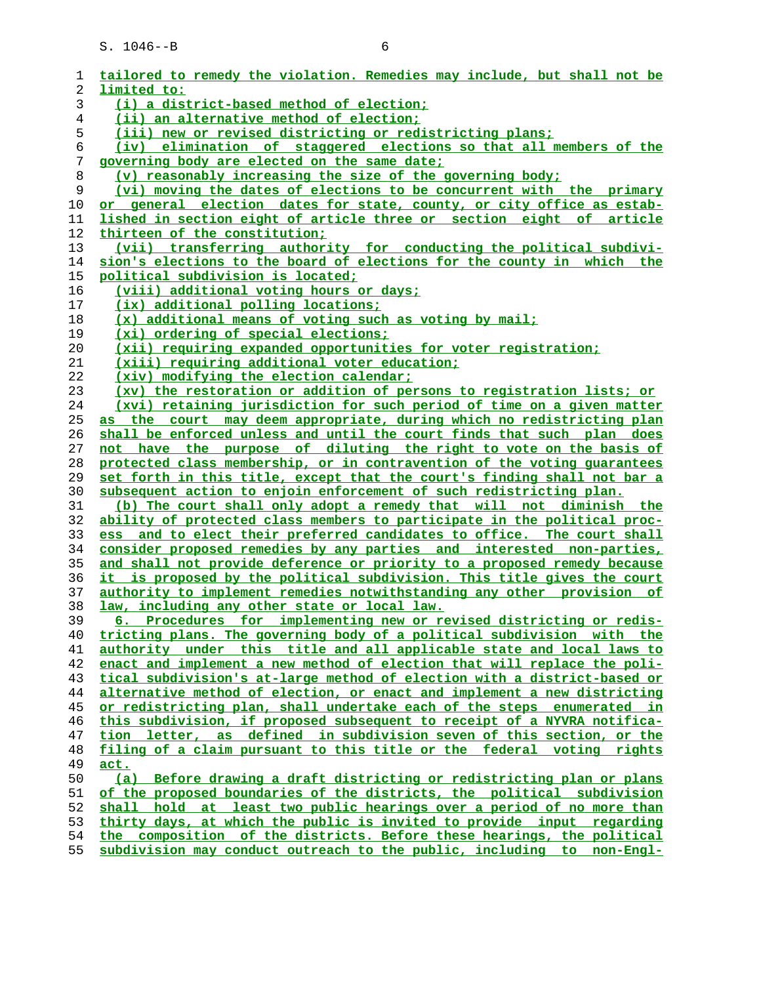| 1  | tailored to remedy the violation. Remedies may include, but shall not be |
|----|--------------------------------------------------------------------------|
| 2  | limited to:                                                              |
| 3  | (i) a district-based method of election;                                 |
| 4  | (ii) an alternative method of election;                                  |
| 5  | (iii) new or revised districting or redistricting plans;                 |
| 6  | (iv) elimination of staggered elections so that all members of the       |
| 7  | governing body are elected on the same date;                             |
| 8  | (v) reasonably increasing the size of the governing body;                |
| 9  | (vi) moving the dates of elections to be concurrent with the primary     |
| 10 | or general election dates for state, county, or city office as estab-    |
| 11 | lished in section eight of article three or section eight of article     |
| 12 | thirteen of the constitution;                                            |
| 13 | (vii) transferring authority for conducting the political subdivi-       |
| 14 | sion's elections to the board of elections for the county in which the   |
| 15 | political subdivision is located;                                        |
| 16 | <u>(viii) additional voting hours or days;</u>                           |
| 17 | (ix) additional polling locations;                                       |
| 18 | (x) additional means of voting such as voting by mail;                   |
| 19 | (xi) ordering of special elections;                                      |
| 20 | (xii) requiring expanded opportunities for voter registration;           |
| 21 | (xiii) requiring additional voter education;                             |
| 22 | (xiv) modifying the election calendar;                                   |
| 23 | (xv) the restoration or addition of persons to registration lists; or    |
| 24 | (xvi) retaining jurisdiction for such period of time on a given matter   |
| 25 | as the court may deem appropriate, during which no redistricting plan    |
| 26 | shall be enforced unless and until the court finds that such plan does   |
| 27 | not have the purpose of diluting the right to vote on the basis of       |
| 28 | protected class membership, or in contravention of the voting quarantees |
| 29 | set forth in this title, except that the court's finding shall not bar a |
| 30 | subsequent action to enjoin enforcement of such redistricting plan.      |
| 31 | (b) The court shall only adopt a remedy that will not diminish the       |
| 32 | ability of protected class members to participate in the political proc- |
| 33 | ess and to elect their preferred candidates to office. The court shall   |
| 34 | consider proposed remedies by any parties and interested non-parties,    |
| 35 | and shall not provide deference or priority to a proposed remedy because |
| 36 | it is proposed by the political subdivision. This title gives the court  |
| 37 | authority to implement remedies notwithstanding any other provision of   |
| 38 | law, including any other state or local law.                             |
| 39 | 6. Procedures for implementing new or revised districting or redis-      |
| 40 | tricting plans. The governing body of a political subdivision with the   |
| 41 | authority under this title and all applicable state and local laws to    |
| 42 | enact and implement a new method of election that will replace the poli- |
| 43 | tical subdivision's at-large method of election with a district-based or |
| 44 | alternative method of election, or enact and implement a new districting |
| 45 | or redistricting plan, shall undertake each of the steps enumerated in   |
| 46 | this subdivision, if proposed subsequent to receipt of a NYVRA notifica- |
| 47 | tion letter, as defined in subdivision seven of this section, or the     |
| 48 | filing of a claim pursuant to this title or the federal voting rights    |
| 49 | act.                                                                     |
| 50 | (a) Before drawing a draft districting or redistricting plan or plans    |
| 51 | of the proposed boundaries of the districts, the political subdivision   |
| 52 | shall hold at least two public hearings over a period of no more than    |
| 53 | thirty days, at which the public is invited to provide input regarding   |
| 54 | the composition of the districts. Before these hearings, the political   |
| 55 | subdivision may conduct outreach to the public, including to non-Engl-   |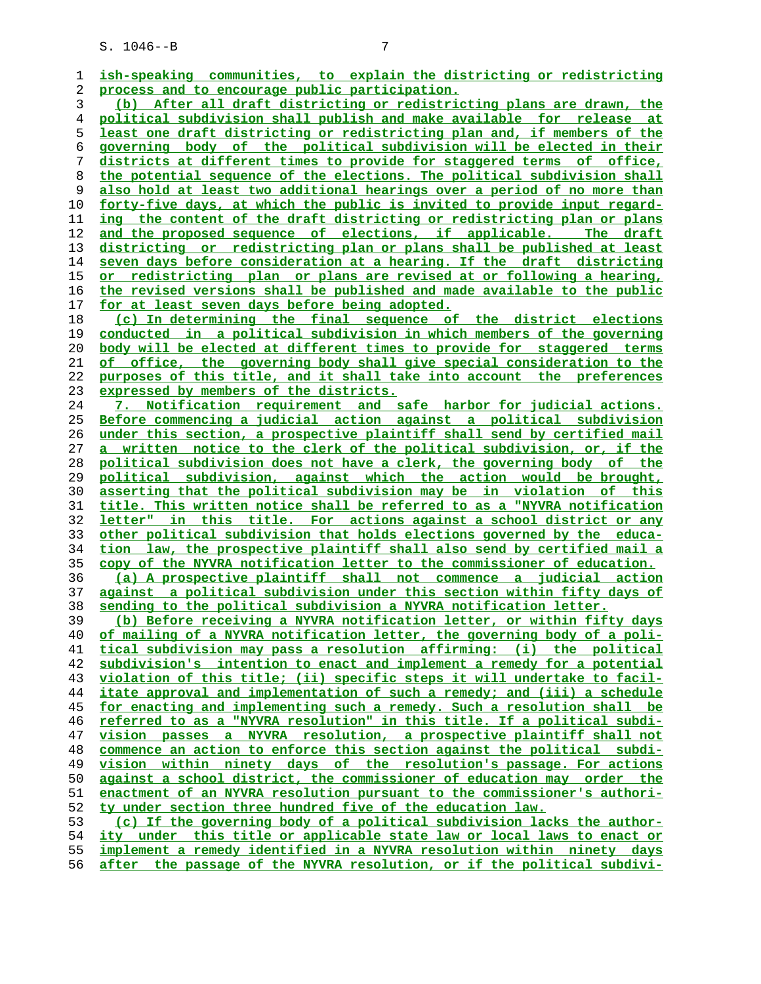**ish-speaking communities, to explain the districting or redistricting process and to encourage public participation. (b) After all draft districting or redistricting plans are drawn, the political subdivision shall publish and make available for release at least one draft districting or redistricting plan and, if members of the governing body of the political subdivision will be elected in their districts at different times to provide for staggered terms of office, the potential sequence of the elections. The political subdivision shall also hold at least two additional hearings over a period of no more than forty-five days, at which the public is invited to provide input regard- ing the content of the draft districting or redistricting plan or plans and the proposed sequence of elections, if applicable. The draft districting or redistricting plan or plans shall be published at least seven days before consideration at a hearing. If the draft districting or redistricting plan or plans are revised at or following a hearing, the revised versions shall be published and made available to the public for at least seven days before being adopted. (c) In determining the final sequence of the district elections conducted in a political subdivision in which members of the governing body will be elected at different times to provide for staggered terms of office, the governing body shall give special consideration to the purposes of this title, and it shall take into account the preferences expressed by members of the districts. 7. Notification requirement and safe harbor for judicial actions. Before commencing a judicial action against a political subdivision under this section, a prospective plaintiff shall send by certified mail a written notice to the clerk of the political subdivision, or, if the political subdivision does not have a clerk, the governing body of the political subdivision, against which the action would be brought, asserting that the political subdivision may be in violation of this title. This written notice shall be referred to as a "NYVRA notification letter" in this title. For actions against a school district or any other political subdivision that holds elections governed by the educa- tion law, the prospective plaintiff shall also send by certified mail a copy of the NYVRA notification letter to the commissioner of education. (a) A prospective plaintiff shall not commence a judicial action against a political subdivision under this section within fifty days of sending to the political subdivision a NYVRA notification letter. (b) Before receiving a NYVRA notification letter, or within fifty days of mailing of a NYVRA notification letter, the governing body of a poli- tical subdivision may pass a resolution affirming: (i) the political subdivision's intention to enact and implement a remedy for a potential violation of this title; (ii) specific steps it will undertake to facil- itate approval and implementation of such a remedy; and (iii) a schedule for enacting and implementing such a remedy. Such a resolution shall be referred to as a "NYVRA resolution" in this title. If a political subdi- vision passes a NYVRA resolution, a prospective plaintiff shall not commence an action to enforce this section against the political subdi- vision within ninety days of the resolution's passage. For actions against a school district, the commissioner of education may order the enactment of an NYVRA resolution pursuant to the commissioner's authori- ty under section three hundred five of the education law. (c) If the governing body of a political subdivision lacks the author- ity under this title or applicable state law or local laws to enact or implement a remedy identified in a NYVRA resolution within ninety days**

**after the passage of the NYVRA resolution, or if the political subdivi-**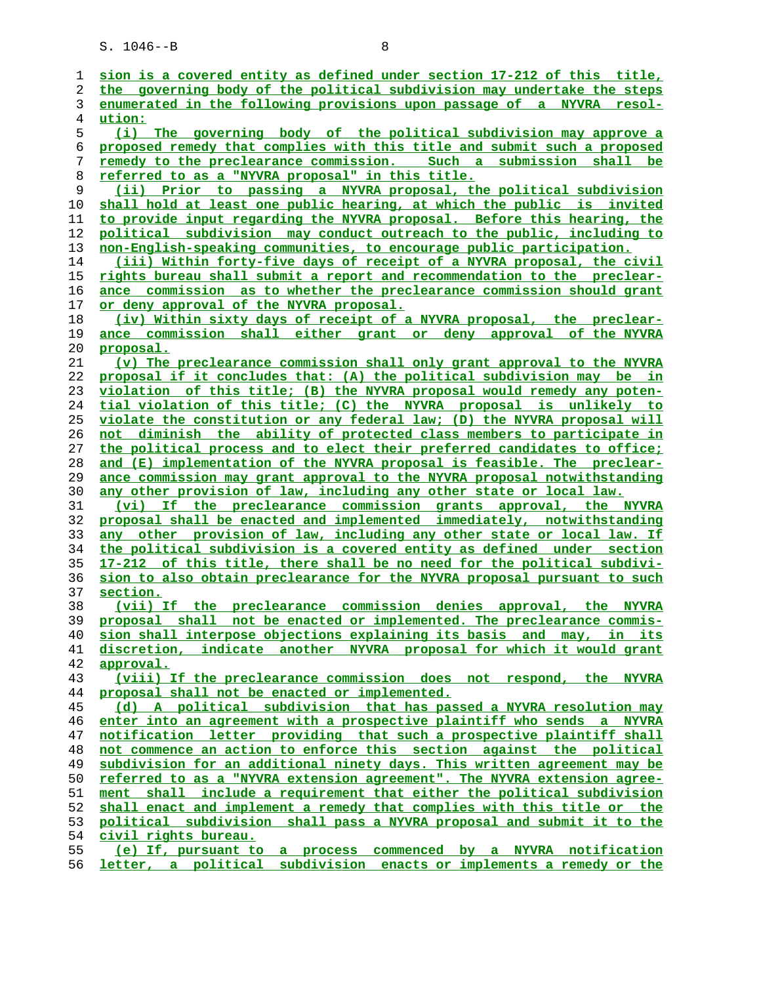| 1        | sion is a covered entity as defined under section 17-212 of this title,                                                                      |
|----------|----------------------------------------------------------------------------------------------------------------------------------------------|
| 2        | the governing body of the political subdivision may undertake the steps                                                                      |
| 3        | enumerated in the following provisions upon passage of a NYVRA resol-                                                                        |
| 4        | ution:                                                                                                                                       |
| 5        | (i) The governing body of the political subdivision may approve a                                                                            |
| 6        | proposed remedy that complies with this title and submit such a proposed                                                                     |
| 7        | remedy to the preclearance commission. Such a submission shall be                                                                            |
| 8        | referred to as a "NYVRA proposal" in this title.                                                                                             |
| 9        | (ii) Prior to passing a NYVRA proposal, the political subdivision                                                                            |
| 10       | shall hold at least one public hearing, at which the public is invited                                                                       |
| 11       | to provide input regarding the NYVRA proposal. Before this hearing, the                                                                      |
| 12       | political subdivision may conduct outreach to the public, including to                                                                       |
| 13       | non-English-speaking communities, to encourage public participation.                                                                         |
| 14       | (iii) Within forty-five days of receipt of a NYVRA proposal, the civil                                                                       |
| 15       | rights bureau shall submit a report and recommendation to the preclear-                                                                      |
| 16       | ance commission as to whether the preclearance commission should grant                                                                       |
| 17       | or deny approval of the NYVRA proposal.                                                                                                      |
| 18       | (iv) Within sixty days of receipt of a NYVRA proposal, the preclear-                                                                         |
| 19       | ance commission shall either grant or deny approval of the NYVRA                                                                             |
| 20       | proposal.                                                                                                                                    |
| 21       | (v) The preclearance commission shall only grant approval to the NYVRA                                                                       |
| 22       | proposal if it concludes that: (A) the political subdivision may be in                                                                       |
| 23       | violation of this title; (B) the NYVRA proposal would remedy any poten-                                                                      |
| 24       | tial violation of this title; (C) the NYVRA proposal is unlikely to                                                                          |
| 25       | violate the constitution or any federal law; (D) the NYVRA proposal will                                                                     |
| 26       | not diminish the ability of protected class members to participate in                                                                        |
| 27       | the political process and to elect their preferred candidates to office;                                                                     |
| 28       | and (E) implementation of the NYVRA proposal is feasible. The preclear-                                                                      |
| 29       | ance commission may grant approval to the NYVRA proposal notwithstanding                                                                     |
| 30       | any other provision of law, including any other state or local law.                                                                          |
| 31       | (vi) If the preclearance commission grants approval, the NYVRA                                                                               |
| 32       | proposal shall be enacted and implemented immediately, notwithstanding                                                                       |
| 33       | any other provision of law, including any other state or local law. If                                                                       |
| 34       | the political subdivision is a covered entity as defined under section                                                                       |
| 35       | 17-212 of this title, there shall be no need for the political subdivi-                                                                      |
| 36       | sion to also obtain preclearance for the NYVRA proposal pursuant to such                                                                     |
| 37       | section.                                                                                                                                     |
| 38<br>39 | (vii) If the preclearance commission denies approval, the NYVRA<br>not be enacted or implemented. The preclearance commis-<br>proposal shall |
| 40       | sion shall interpose objections explaining its basis and may, in its                                                                         |
| 41       | discretion, indicate another NYVRA proposal for which it would grant                                                                         |
| 42       | <u>approval.</u>                                                                                                                             |
| 43       | (viii) If the preclearance commission does not respond, the NYVRA                                                                            |
| 44       | proposal shall not be enacted or implemented.                                                                                                |
| 45       | (d) A political subdivision that has passed a NYVRA resolution may                                                                           |
| 46       | enter into an agreement with a prospective plaintiff who sends a NYVRA                                                                       |
| 47       | notification letter providing that such a prospective plaintiff shall                                                                        |
| 48       | not commence an action to enforce this section against the political                                                                         |
| 49       | subdivision for an additional ninety days. This written agreement may be                                                                     |
| 50       | <u>referred to as a "NYVRA extension agreement". The NYVRA extension agree-</u>                                                              |
| 51       | ment shall include a requirement that either the political subdivision                                                                       |
| 52       | shall enact and implement a remedy that complies with this title or the                                                                      |
| 53       | political subdivision shall pass a NYVRA proposal and submit it to the                                                                       |
| 54       | civil rights bureau.                                                                                                                         |
| 55       | (e) If, pursuant to a process commenced by a NYVRA notification                                                                              |
| 56       | letter, a political subdivision enacts or implements a remedy or the                                                                         |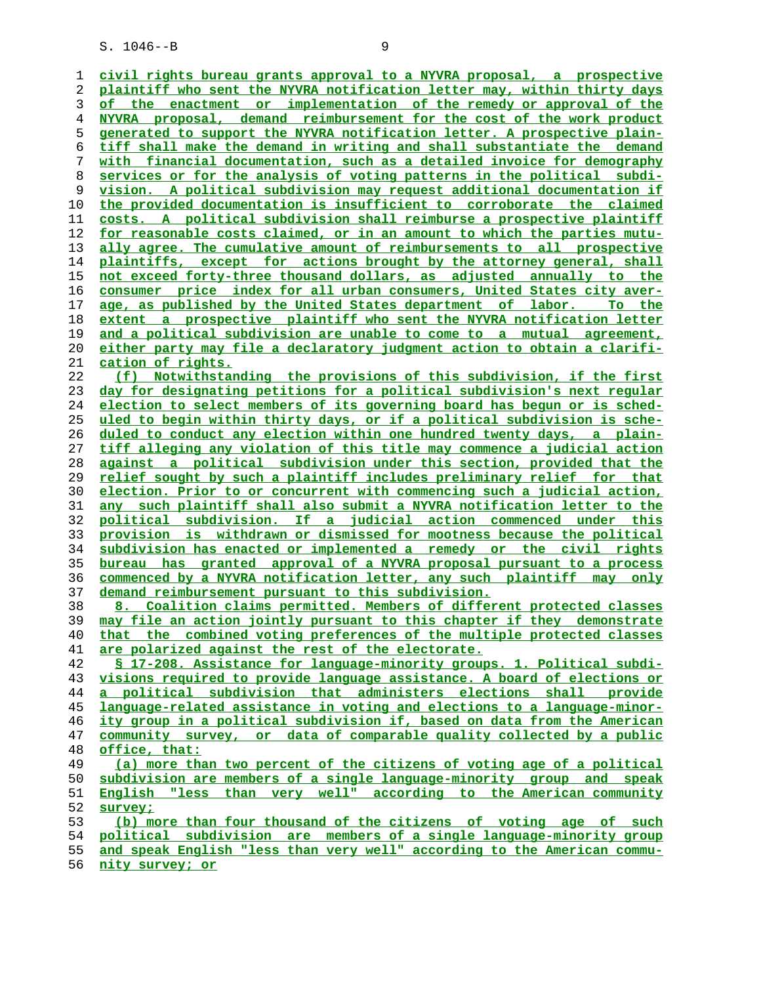**civil rights bureau grants approval to a NYVRA proposal, a prospective plaintiff who sent the NYVRA notification letter may, within thirty days of the enactment or implementation of the remedy or approval of the NYVRA proposal, demand reimbursement for the cost of the work product generated to support the NYVRA notification letter. A prospective plain- tiff shall make the demand in writing and shall substantiate the demand with financial documentation, such as a detailed invoice for demography services or for the analysis of voting patterns in the political subdi- vision. A political subdivision may request additional documentation if the provided documentation is insufficient to corroborate the claimed costs. A political subdivision shall reimburse a prospective plaintiff for reasonable costs claimed, or in an amount to which the parties mutu- ally agree. The cumulative amount of reimbursements to all prospective plaintiffs, except for actions brought by the attorney general, shall not exceed forty-three thousand dollars, as adjusted annually to the consumer price index for all urban consumers, United States city aver- age, as published by the United States department of labor. To the extent a prospective plaintiff who sent the NYVRA notification letter and a political subdivision are unable to come to a mutual agreement, either party may file a declaratory judgment action to obtain a clarifi- cation of rights. (f) Notwithstanding the provisions of this subdivision, if the first day for designating petitions for a political subdivision's next regular election to select members of its governing board has begun or is sched- uled to begin within thirty days, or if a political subdivision is sche- duled to conduct any election within one hundred twenty days, a plain- tiff alleging any violation of this title may commence a judicial action against a political subdivision under this section, provided that the relief sought by such a plaintiff includes preliminary relief for that election. Prior to or concurrent with commencing such a judicial action, any such plaintiff shall also submit a NYVRA notification letter to the political subdivision. If a judicial action commenced under this provision is withdrawn or dismissed for mootness because the political subdivision has enacted or implemented a remedy or the civil rights bureau has granted approval of a NYVRA proposal pursuant to a process commenced by a NYVRA notification letter, any such plaintiff may only demand reimbursement pursuant to this subdivision. 8. Coalition claims permitted. Members of different protected classes may file an action jointly pursuant to this chapter if they demonstrate that the combined voting preferences of the multiple protected classes are polarized against the rest of the electorate. § 17-208. Assistance for language-minority groups. 1. Political subdi- visions required to provide language assistance. A board of elections or a political subdivision that administers elections shall provide language-related assistance in voting and elections to a language-minor- ity group in a political subdivision if, based on data from the American community survey, or data of comparable quality collected by a public office, that: (a) more than two percent of the citizens of voting age of a political subdivision are members of a single language-minority group and speak English "less than very well" according to the American community survey; (b) more than four thousand of the citizens of voting age of such political subdivision are members of a single language-minority group and speak English "less than very well" according to the American commu-**

**nity survey; or**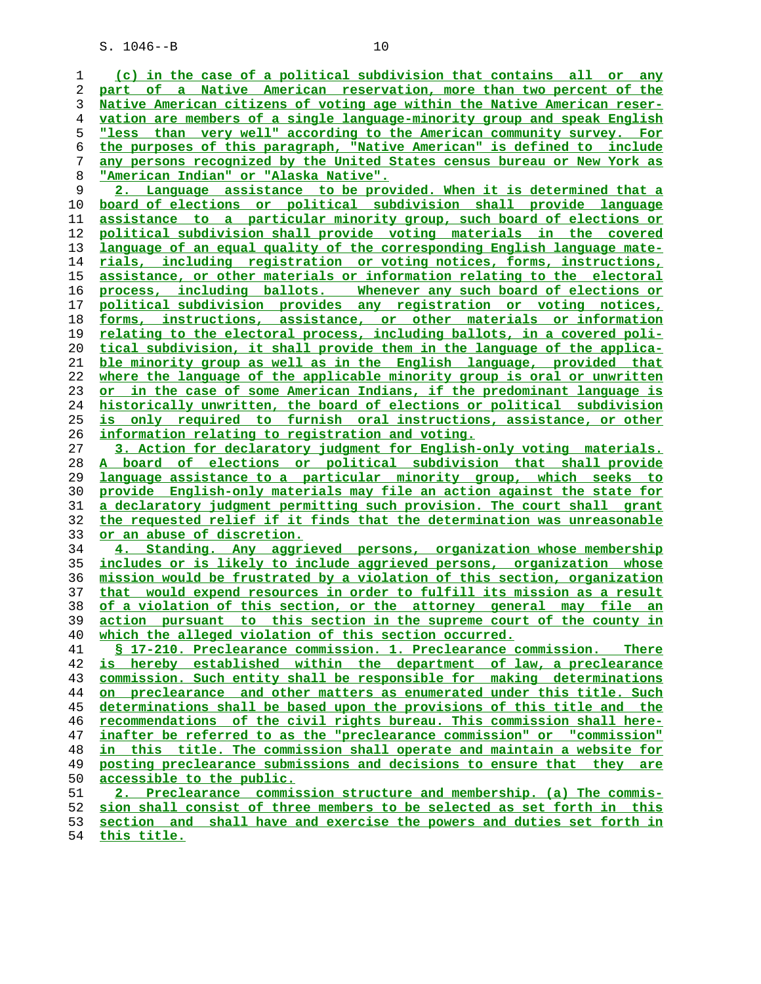**(c) in the case of a political subdivision that contains all or any part of a Native American reservation, more than two percent of the Native American citizens of voting age within the Native American reser- vation are members of a single language-minority group and speak English "less than very well" according to the American community survey. For the purposes of this paragraph, "Native American" is defined to include any persons recognized by the United States census bureau or New York as "American Indian" or "Alaska Native".**

**2. Language assistance to be provided. When it is determined that a board of elections or political subdivision shall provide language assistance to a particular minority group, such board of elections or political subdivision shall provide voting materials in the covered language of an equal quality of the corresponding English language mate- rials, including registration or voting notices, forms, instructions, assistance, or other materials or information relating to the electoral process, including ballots. Whenever any such board of elections or political subdivision provides any registration or voting notices, forms, instructions, assistance, or other materials or information relating to the electoral process, including ballots, in a covered poli- tical subdivision, it shall provide them in the language of the applica- ble minority group as well as in the English language, provided that where the language of the applicable minority group is oral or unwritten or in the case of some American Indians, if the predominant language is historically unwritten, the board of elections or political subdivision is only required to furnish oral instructions, assistance, or other information relating to registration and voting.**

**3. Action for declaratory judgment for English-only voting materials. A board of elections or political subdivision that shall provide language assistance to a particular minority group, which seeks to provide English-only materials may file an action against the state for a declaratory judgment permitting such provision. The court shall grant the requested relief if it finds that the determination was unreasonable or an abuse of discretion.**

**4. Standing. Any aggrieved persons, organization whose membership includes or is likely to include aggrieved persons, organization whose mission would be frustrated by a violation of this section, organization that would expend resources in order to fulfill its mission as a result of a violation of this section, or the attorney general may file an action pursuant to this section in the supreme court of the county in which the alleged violation of this section occurred.**

**§ 17-210. Preclearance commission. 1. Preclearance commission. There is hereby established within the department of law, a preclearance commission. Such entity shall be responsible for making determinations on preclearance and other matters as enumerated under this title. Such determinations shall be based upon the provisions of this title and the recommendations of the civil rights bureau. This commission shall here- inafter be referred to as the "preclearance commission" or "commission" in this title. The commission shall operate and maintain a website for posting preclearance submissions and decisions to ensure that they are** accessible to the public.

**2. Preclearance commission structure and membership. (a) The commis- sion shall consist of three members to be selected as set forth in this section and shall have and exercise the powers and duties set forth in this title.**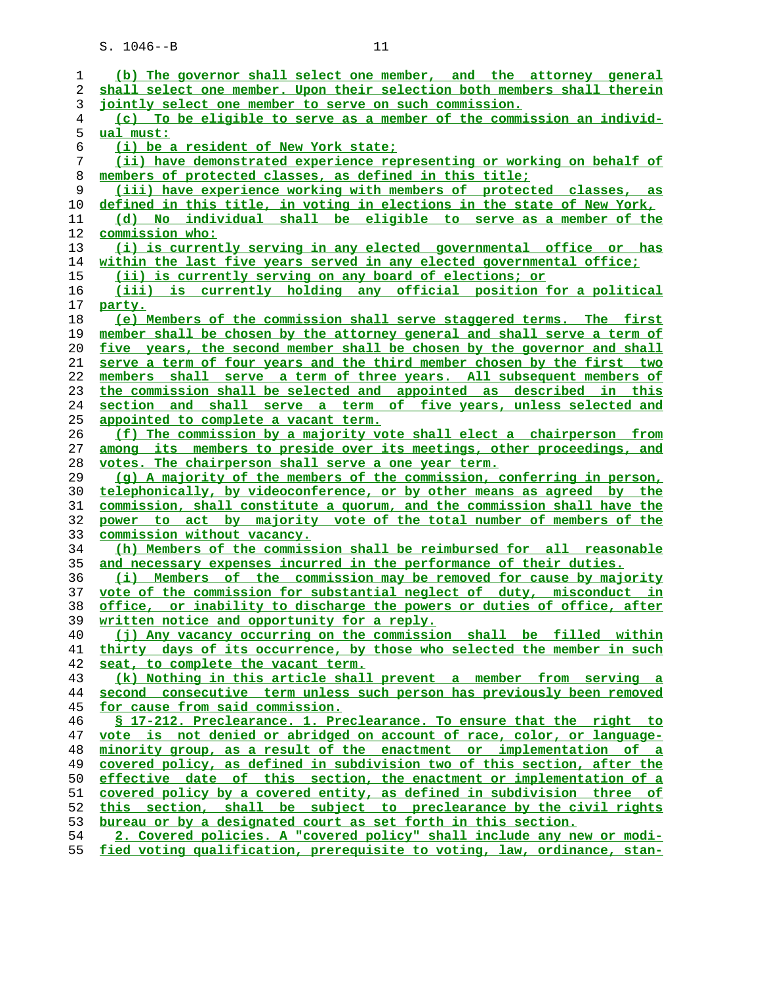| 1  | (b) The governor shall select one member, and the attorney general             |
|----|--------------------------------------------------------------------------------|
| 2  | shall select one member. Upon their selection both members shall therein       |
| 3  | jointly select one member to serve on such commission.                         |
| 4  | (c) To be eligible to serve as a member of the commission an individ-          |
| 5  | ual must:                                                                      |
| 6  | (i) be a resident of New York state;                                           |
| 7  | (ii) have demonstrated experience representing or working on behalf of         |
| 8  | members of protected classes, as defined in this title;                        |
| 9  | (iii) have experience working with members of protected classes, as            |
| 10 | defined in this title, in voting in elections in the state of New York,        |
| 11 | (d) No individual shall be eligible to serve as a member of the                |
| 12 | commission who:                                                                |
| 13 | (i) is currently serving in any elected governmental office or has             |
| 14 | within the last five years served in any elected governmental office;          |
| 15 | (ii) is currently serving on any board of elections; or                        |
| 16 | (iii) is currently holding any official position for a political               |
| 17 | party.                                                                         |
| 18 | (e) Members of the commission shall serve staggered terms. The first           |
| 19 | member shall be chosen by the attorney general and shall serve a term of       |
| 20 | five years, the second member shall be chosen by the governor and shall        |
| 21 | serve a term of four years and the third member chosen by the first two        |
| 22 | members shall serve a term of three years. All subsequent members of           |
| 23 | the commission shall be selected and appointed as described in this            |
| 24 | section and shall serve a term of five years, unless selected and              |
| 25 | appointed to complete a vacant term.                                           |
| 26 | (f) The commission by a majority vote shall elect a chairperson from           |
| 27 | among its members to preside over its meetings, other proceedings, and         |
| 28 | votes. The chairperson shall serve a one year term.                            |
| 29 | (g) A majority of the members of the commission, conferring in person,         |
| 30 | telephonically, by videoconference, or by other means as agreed by the         |
| 31 | commission, shall constitute a quorum, and the commission shall have the       |
| 32 | power to act by majority vote of the total number of members of the            |
| 33 | <u>commission without vacancy.</u>                                             |
| 34 | (h) Members of the commission shall be reimbursed for all reasonable           |
| 35 | and necessary expenses incurred in the performance of their duties.            |
| 36 | (i) Members of the commission may be removed for cause by majority             |
| 37 | vote of the commission for substantial neglect of duty, misconduct in          |
| 38 | <u>office, or inability to discharge the powers or duties of office, after</u> |
| 39 | written notice and opportunity for a reply.                                    |
| 40 | (j) Any vacancy occurring on the commission shall be filled within             |
| 41 | thirty days of its occurrence, by those who selected the member in such        |
| 42 | seat, to complete the vacant term.                                             |
| 43 | (k) Nothing in this article shall prevent a member from serving a              |
| 44 | second consecutive term unless such person has previously been removed         |
| 45 | for cause from said commission.                                                |
| 46 | § 17-212. Preclearance. 1. Preclearance. To ensure that the right to           |
| 47 | vote is not denied or abridged on account of race, color, or language-         |
| 48 | minority group, as a result of the enactment or implementation of a            |
| 49 | covered policy, as defined in subdivision two of this section, after the       |
| 50 | effective date of this section, the enactment or implementation of a           |
| 51 | covered policy by a covered entity, as defined in subdivision three of         |
| 52 | this section, shall be subject to preclearance by the civil rights             |
| 53 | bureau or by a designated court as set forth in this section.                  |
| 54 | 2. Covered policies. A "covered policy" shall include any new or modi-         |
| 55 | fied voting qualification, prerequisite to voting, law, ordinance, stan-       |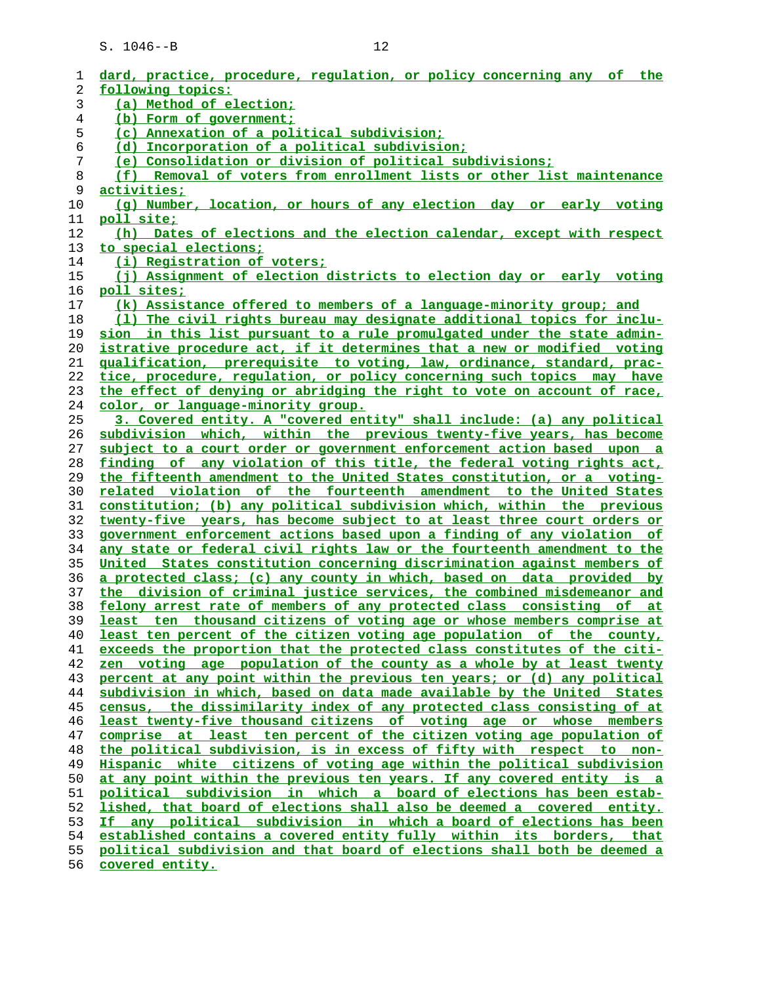| 1  | dard, practice, procedure, requlation, or policy concerning any of the     |
|----|----------------------------------------------------------------------------|
| 2  | following topics:                                                          |
| 3  | (a) Method of election;                                                    |
| 4  | (b) Form of government;                                                    |
| 5  | (c) Annexation of a political subdivision;                                 |
| 6  | (d) Incorporation of a political subdivision;                              |
| 7  | (e) Consolidation or division of political subdivisions;                   |
| 8  | (f) Removal of voters from enrollment lists or other list maintenance      |
| 9  | <u>activities;</u>                                                         |
| 10 | (q) Number, location, or hours of any election day or early voting         |
| 11 | <u>poll site;</u>                                                          |
| 12 | (h) Dates of elections and the election calendar, except with respect      |
| 13 | to special elections;                                                      |
| 14 | (i) Registration of voters;                                                |
| 15 | (j) Assignment of election districts to election day or early voting       |
| 16 | poll sites;                                                                |
| 17 | (k) Assistance offered to members of a language-minority group; and        |
| 18 | (1) The civil rights bureau may designate additional topics for inclu-     |
| 19 | sion in this list pursuant to a rule promulgated under the state admin-    |
| 20 | istrative procedure act, if it determines that a new or modified voting    |
| 21 | qualification, prerequisite to voting, law, ordinance, standard, prac-     |
| 22 | tice, procedure, regulation, or policy concerning such topics may have     |
| 23 | the effect of denying or abridging the right to vote on account of race,   |
| 24 | color, or language-minority group.                                         |
| 25 | 3. Covered entity. A "covered entity" shall include: (a) any political     |
| 26 | subdivision which, within the previous twenty-five years, has become       |
| 27 | subject to a court order or government enforcement action based upon a     |
| 28 | finding of any violation of this title, the federal voting rights act,     |
| 29 | the fifteenth amendment to the United States constitution, or a voting-    |
| 30 | related violation of the fourteenth amendment to the United States         |
| 31 | constitution; (b) any political subdivision which, within the previous     |
| 32 | twenty-five years, has become subject to at least three court orders or    |
| 33 | government enforcement actions based upon a finding of any violation of    |
| 34 | any state or federal civil rights law or the fourteenth amendment to the   |
| 35 | United States constitution concerning discrimination against members of    |
| 36 | a protected class; (c) any county in which, based on data provided by      |
| 37 | the division of criminal justice services, the combined misdemeanor and    |
| 38 | felony arrest rate of members of any protected class consisting of<br>at   |
| 39 | least ten thousand citizens of voting age or whose members comprise at     |
| 40 | least ten percent of the citizen voting age population of the county,      |
| 41 | exceeds the proportion that the protected class constitutes of the citi-   |
| 42 | zen voting age population of the county as a whole by at least twenty      |
| 43 | percent at any point within the previous ten years; or (d) any political   |
| 44 | subdivision in which, based on data made available by the United<br>States |
| 45 | census, the dissimilarity index of any protected class consisting of at    |
| 46 | least twenty-five thousand citizens of voting age or whose members         |
| 47 | comprise at least ten percent of the citizen voting age population of      |
| 48 | the political subdivision, is in excess of fifty with respect to non-      |
| 49 | Hispanic white citizens of voting age within the political subdivision     |
| 50 | at any point within the previous ten years. If any covered entity is a     |
| 51 | political subdivision in which a board of elections has been estab-        |
| 52 | lished, that board of elections shall also be deemed a covered entity.     |
| 53 | If any political subdivision in which a board of elections has been        |
| 54 | established contains a covered entity fully within its borders, that       |
| 55 | political subdivision and that board of elections shall both be deemed a   |
| 56 | covered entity.                                                            |
|    |                                                                            |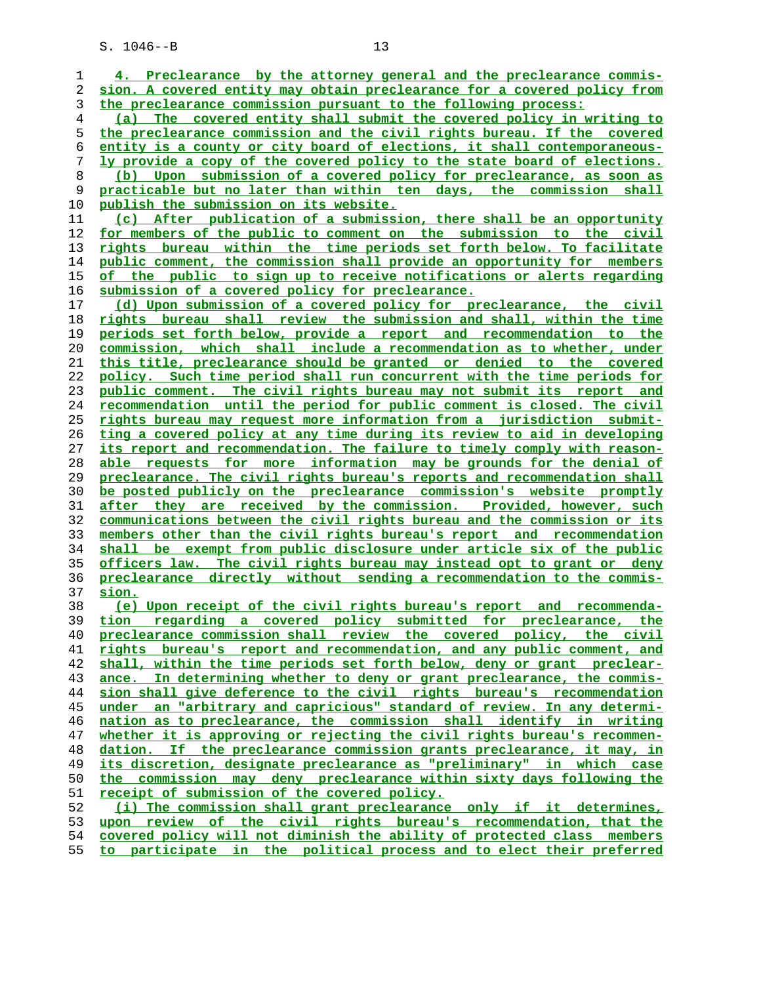**4. Preclearance by the attorney general and the preclearance commis- sion. A covered entity may obtain preclearance for a covered policy from the preclearance commission pursuant to the following process: (a) The covered entity shall submit the covered policy in writing to the preclearance commission and the civil rights bureau. If the covered entity is a county or city board of elections, it shall contemporaneous- ly provide a copy of the covered policy to the state board of elections. (b) Upon submission of a covered policy for preclearance, as soon as practicable but no later than within ten days, the commission shall publish the submission on its website. (c) After publication of a submission, there shall be an opportunity for members of the public to comment on the submission to the civil rights bureau within the time periods set forth below. To facilitate public comment, the commission shall provide an opportunity for members of the public to sign up to receive notifications or alerts regarding submission of a covered policy for preclearance. (d) Upon submission of a covered policy for preclearance, the civil rights bureau shall review the submission and shall, within the time periods set forth below, provide a report and recommendation to the commission, which shall include a recommendation as to whether, under this title, preclearance should be granted or denied to the covered policy. Such time period shall run concurrent with the time periods for public comment. The civil rights bureau may not submit its report and recommendation until the period for public comment is closed. The civil rights bureau may request more information from a jurisdiction submit- ting a covered policy at any time during its review to aid in developing its report and recommendation. The failure to timely comply with reason- able requests for more information may be grounds for the denial of preclearance. The civil rights bureau's reports and recommendation shall be posted publicly on the preclearance commission's website promptly after they are received by the commission. Provided, however, such communications between the civil rights bureau and the commission or its members other than the civil rights bureau's report and recommendation shall be exempt from public disclosure under article six of the public officers law. The civil rights bureau may instead opt to grant or deny preclearance directly without sending a recommendation to the commis- sion. (e) Upon receipt of the civil rights bureau's report and recommenda- tion regarding a covered policy submitted for preclearance, the preclearance commission shall review the covered policy, the civil rights bureau's report and recommendation, and any public comment, and shall, within the time periods set forth below, deny or grant preclear- ance. In determining whether to deny or grant preclearance, the commis- sion shall give deference to the civil rights bureau's recommendation under an "arbitrary and capricious" standard of review. In any determi- nation as to preclearance, the commission shall identify in writing whether it is approving or rejecting the civil rights bureau's recommen- dation. If the preclearance commission grants preclearance, it may, in its discretion, designate preclearance as "preliminary" in which case the commission may deny preclearance within sixty days following the receipt of submission of the covered policy. (i) The commission shall grant preclearance only if it determines, upon review of the civil rights bureau's recommendation, that the covered policy will not diminish the ability of protected class members to participate in the political process and to elect their preferred**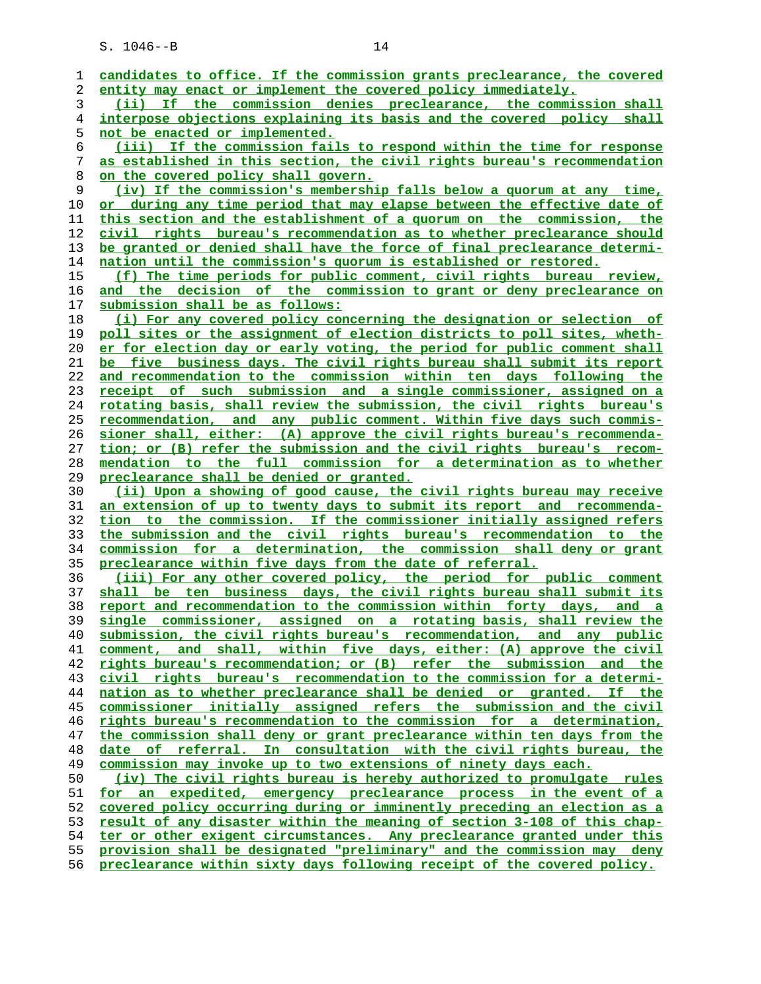| ı              | candidates to office. If the commission grants preclearance, the covered      |
|----------------|-------------------------------------------------------------------------------|
| 2              | entity may enact or implement the covered policy immediately.                 |
| 3              | If the commission denies preclearance, the commission shall<br>(iii)          |
| $\overline{4}$ | interpose objections explaining its basis and the covered policy shall        |
| 5              | <u>not be enacted or implemented.</u>                                         |
| 6              | (iii) If the commission fails to respond within the time for response         |
| 7              | as established in this section, the civil rights bureau's recommendation      |
| $\,8\,$        | on the covered policy shall govern.                                           |
| 9              | (iv) If the commission's membership falls below a quorum at any time,         |
|                |                                                                               |
| 10             | or during any time period that may elapse between the effective date of       |
| 11             | this section and the establishment of a quorum on the commission, the         |
| 12             | civil rights bureau's recommendation as to whether preclearance should        |
| 13             | be granted or denied shall have the force of final preclearance determi-      |
| 14             | nation until the commission's quorum is established or restored.              |
| 15             | (f) The time periods for public comment, civil rights bureau review,          |
| 16             | and the decision of the commission to grant or deny preclearance on           |
| 17             | submission shall be as follows:                                               |
| 18             | (i) For any covered policy concerning the designation or selection of         |
| 19             | poll sites or the assignment of election districts to poll sites, wheth-      |
| 20             | er for election day or early voting, the period for public comment shall      |
| 21             | be five business days. The civil rights bureau shall submit its report        |
| 22             | and recommendation to the commission within ten days following the            |
| 23             | receipt of such submission and a single commissioner, assigned on a           |
| 24             | rotating basis, shall review the submission, the civil rights bureau's        |
| 25             | recommendation, and any public comment. Within five days such commis-         |
| 26             | sioner shall, either: (A) approve the civil rights bureau's recommenda-       |
| 27             |                                                                               |
|                | tion; or (B) refer the submission and the civil rights bureau's recom-        |
| 28             | mendation to the full commission for a determination as to whether            |
| 29             | preclearance shall be denied or granted.                                      |
| 30             | (ii) Upon a showing of good cause, the civil rights bureau may receive        |
| 31             | an extension of up to twenty days to submit its report and recommenda-        |
| 32             | tion to the commission. If the commissioner initially assigned refers         |
| 33             | the submission and the civil rights bureau's recommendation to the            |
| 34             | commission for a determination, the commission shall deny or grant            |
| 35             | preclearance within five days from the date of referral.                      |
| 36             | (iii) For any other covered policy, the period for public comment             |
| 37             | shall be ten business days, the civil rights bureau shall submit its          |
| 38             | report and recommendation to the commission within forty days, and a          |
| 39             | commissioner, assigned on a rotating basis, shall review the<br><u>single</u> |
| 40             | submission, the civil rights bureau's recommendation, and any public          |
| 41             | comment, and shall, within five days, either: (A) approve the civil           |
| 42             | rights bureau's recommendation; or (B) refer the submission and the           |
| 43             | civil rights bureau's recommendation to the commission for a determi-         |
| 44             | nation as to whether preclearance shall be denied or granted. If the          |
| 45             | commissioner initially assigned refers the submission and the civil           |
| 46             | rights bureau's recommendation to the commission for a determination,         |
| 47             | the commission shall deny or grant preclearance within ten days from the      |
| 48             | date of referral. In consultation with the civil rights bureau, the           |
| 49             |                                                                               |
|                | commission may invoke up to two extensions of ninety days each.               |
| 50             | (iv) The civil rights bureau is hereby authorized to promulgate rules         |
| 51             | for an expedited, emergency preclearance process in the event of a            |
| 52             | covered policy occurring during or imminently preceding an election as a      |
| 53             | result of any disaster within the meaning of section 3-108 of this chap-      |
| 54             | ter or other exigent circumstances. Any preclearance granted under this       |
| 55             | provision shall be designated "preliminary" and the commission may deny       |
| $\mathsf{r}$   |                                                                               |

**preclearance within sixty days following receipt of the covered policy.**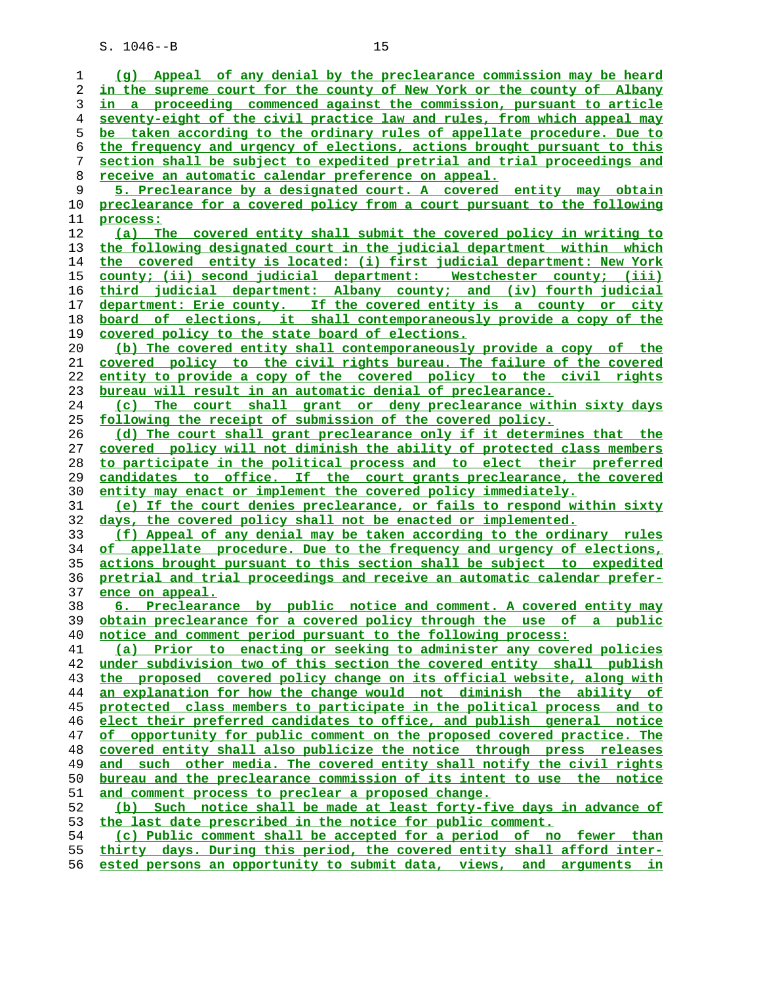| 1  | (q) Appeal of any denial by the preclearance commission may be heard     |
|----|--------------------------------------------------------------------------|
| 2  | in the supreme court for the county of New York or the county of Albany  |
| 3  | in a proceeding commenced against the commission, pursuant to article    |
| 4  | seventy-eight of the civil practice law and rules, from which appeal may |
| 5  | be taken according to the ordinary rules of appellate procedure. Due to  |
| 6  | the frequency and urgency of elections, actions brought pursuant to this |
| 7  | section shall be subject to expedited pretrial and trial proceedings and |
| 8  | <u>receive an automatic calendar preference on appeal.</u>               |
|    | 5. Preclearance by a designated court. A covered entity may obtain       |
| 9  |                                                                          |
| 10 | preclearance for a covered policy from a court pursuant to the following |
| 11 | process:                                                                 |
| 12 | (a) The covered entity shall submit the covered policy in writing to     |
| 13 | the following designated court in the judicial department within which   |
| 14 | the covered entity is located: (i) first judicial department: New York   |
| 15 | county; (ii) second judicial department: Westchester county; (iii)       |
| 16 | third judicial department: Albany county; and (iv) fourth judicial       |
| 17 | department: Erie county. If the covered entity is a county or city       |
| 18 | board of elections, it shall contemporaneously provide a copy of the     |
| 19 | covered policy to the state board of elections.                          |
| 20 | (b) The covered entity shall contemporaneously provide a copy of the     |
| 21 | covered policy to the civil rights bureau. The failure of the covered    |
| 22 | entity to provide a copy of the covered policy to the civil rights       |
| 23 | bureau will result in an automatic denial of preclearance.               |
| 24 | The court shall grant or deny preclearance within sixty days<br>(c)      |
| 25 | following the receipt of submission of the covered policy.               |
| 26 | (d) The court shall grant preclearance only if it determines that the    |
| 27 | covered policy will not diminish the ability of protected class members  |
| 28 | to participate in the political process and to elect their preferred     |
| 29 | candidates to office. If the court grants preclearance, the covered      |
| 30 | entity may enact or implement the covered policy immediately.            |
| 31 | (e) If the court denies preclearance, or fails to respond within sixty   |
| 32 | days, the covered policy shall not be enacted or implemented.            |
|    |                                                                          |
| 33 | (f) Appeal of any denial may be taken according to the ordinary rules    |
| 34 | of appellate procedure. Due to the frequency and urgency of elections,   |
| 35 | actions brought pursuant to this section shall be subject to expedited   |
| 36 | pretrial and trial proceedings and receive an automatic calendar prefer- |
| 37 | ence on appeal.                                                          |
| 38 | 6. Preclearance by public notice and comment. A covered entity may       |
| 39 | obtain preclearance for a covered policy through the use of a public     |
| 40 | notice and comment period pursuant to the following process:             |
| 41 | (a) Prior to enacting or seeking to administer any covered policies      |
| 42 | under subdivision two of this section the covered entity shall publish   |
| 43 | the proposed covered policy change on its official website, along with   |
| 44 | an explanation for how the change would not diminish the ability of      |
| 45 | protected class members to participate in the political process and to   |
| 46 | elect their preferred candidates to office, and publish general notice   |
| 47 | of opportunity for public comment on the proposed covered practice. The  |
| 48 | covered entity shall also publicize the notice through press releases    |
| 49 | and such other media. The covered entity shall notify the civil rights   |
| 50 | bureau and the preclearance commission of its intent to use the notice   |
| 51 | and comment process to preclear a proposed change.                       |
| 52 | (b) Such notice shall be made at least forty-five days in advance of     |
| 53 | the last date prescribed in the notice for public comment.               |
| 54 | (c) Public comment shall be accepted for a period of no fewer than       |
| 55 | thirty days. During this period, the covered entity shall afford inter-  |
| 56 | ested persons an opportunity to submit data, views, and arguments in     |
|    |                                                                          |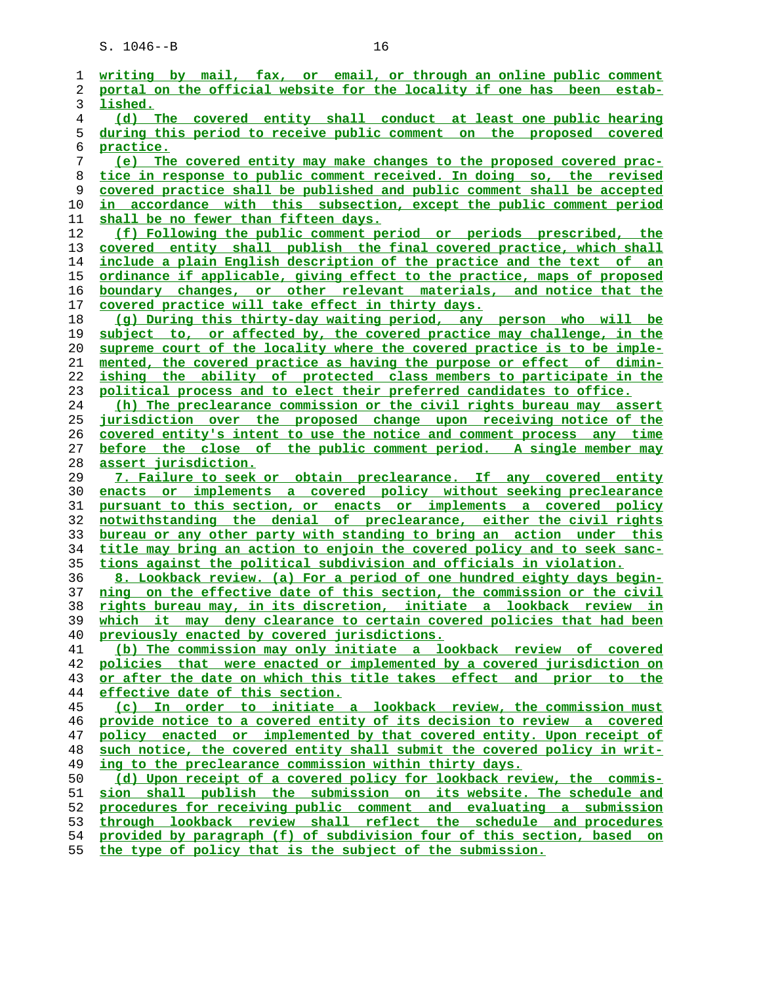**writing by mail, fax, or email, or through an online public comment portal on the official website for the locality if one has been estab- lished. (d) The covered entity shall conduct at least one public hearing during this period to receive public comment on the proposed covered practice. (e) The covered entity may make changes to the proposed covered prac- tice in response to public comment received. In doing so, the revised covered practice shall be published and public comment shall be accepted in accordance with this subsection, except the public comment period shall be no fewer than fifteen days. (f) Following the public comment period or periods prescribed, the covered entity shall publish the final covered practice, which shall include a plain English description of the practice and the text of an ordinance if applicable, giving effect to the practice, maps of proposed boundary changes, or other relevant materials, and notice that the covered practice will take effect in thirty days. (g) During this thirty-day waiting period, any person who will be subject to, or affected by, the covered practice may challenge, in the supreme court of the locality where the covered practice is to be imple- mented, the covered practice as having the purpose or effect of dimin- ishing the ability of protected class members to participate in the political process and to elect their preferred candidates to office. (h) The preclearance commission or the civil rights bureau may assert jurisdiction over the proposed change upon receiving notice of the covered entity's intent to use the notice and comment process any time before the close of the public comment period. A single member may assert jurisdiction. 7. Failure to seek or obtain preclearance. If any covered entity enacts or implements a covered policy without seeking preclearance pursuant to this section, or enacts or implements a covered policy notwithstanding the denial of preclearance, either the civil rights bureau or any other party with standing to bring an action under this title may bring an action to enjoin the covered policy and to seek sanc- tions against the political subdivision and officials in violation. 8. Lookback review. (a) For a period of one hundred eighty days begin- ning on the effective date of this section, the commission or the civil rights bureau may, in its discretion, initiate a lookback review in which it may deny clearance to certain covered policies that had been previously enacted by covered jurisdictions. (b) The commission may only initiate a lookback review of covered policies that were enacted or implemented by a covered jurisdiction on or after the date on which this title takes effect and prior to the effective date of this section. (c) In order to initiate a lookback review, the commission must provide notice to a covered entity of its decision to review a covered policy enacted or implemented by that covered entity. Upon receipt of such notice, the covered entity shall submit the covered policy in writ- ing to the preclearance commission within thirty days. (d) Upon receipt of a covered policy for lookback review, the commis- sion shall publish the submission on its website. The schedule and procedures for receiving public comment and evaluating a submission through lookback review shall reflect the schedule and procedures provided by paragraph (f) of subdivision four of this section, based on the type of policy that is the subject of the submission.**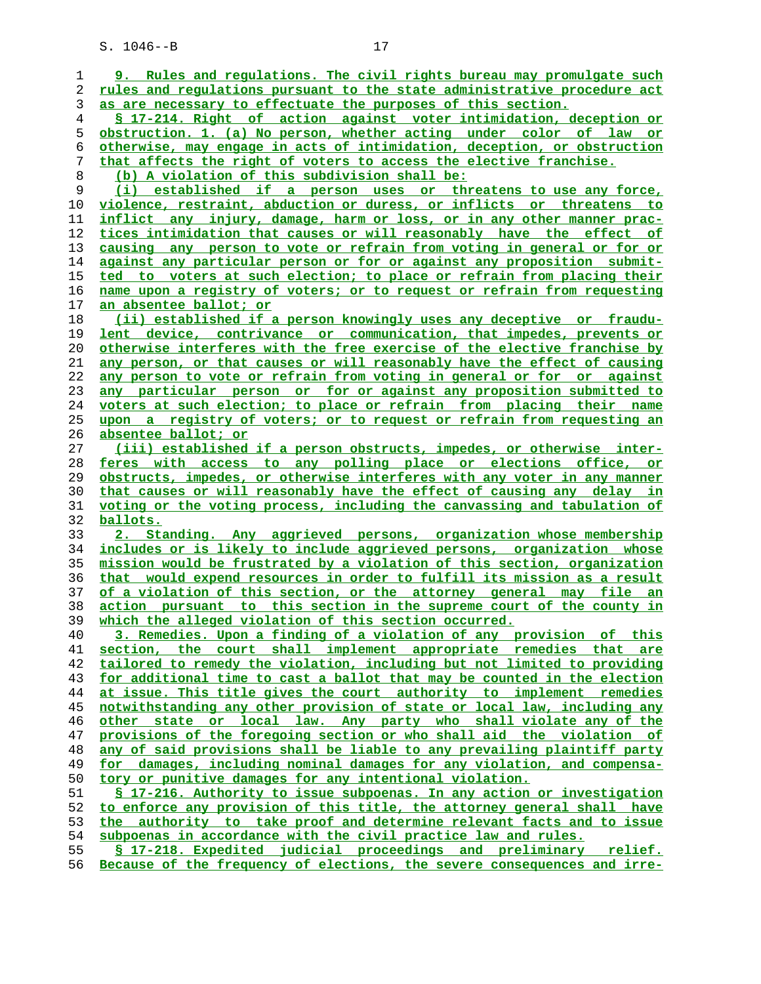**9. Rules and regulations. The civil rights bureau may promulgate such rules and regulations pursuant to the state administrative procedure act as are necessary to effectuate the purposes of this section. § 17-214. Right of action against voter intimidation, deception or obstruction. 1. (a) No person, whether acting under color of law or otherwise, may engage in acts of intimidation, deception, or obstruction that affects the right of voters to access the elective franchise. (b) A violation of this subdivision shall be: (i) established if a person uses or threatens to use any force, violence, restraint, abduction or duress, or inflicts or threatens to inflict any injury, damage, harm or loss, or in any other manner prac- tices intimidation that causes or will reasonably have the effect of causing any person to vote or refrain from voting in general or for or against any particular person or for or against any proposition submit- ted to voters at such election; to place or refrain from placing their name upon a registry of voters; or to request or refrain from requesting an absentee ballot; or (ii) established if a person knowingly uses any deceptive or fraudu- lent device, contrivance or communication, that impedes, prevents or otherwise interferes with the free exercise of the elective franchise by any person, or that causes or will reasonably have the effect of causing any person to vote or refrain from voting in general or for or against any particular person or for or against any proposition submitted to voters at such election; to place or refrain from placing their name upon a registry of voters; or to request or refrain from requesting an absentee ballot; or (iii) established if a person obstructs, impedes, or otherwise inter- feres with access to any polling place or elections office, or obstructs, impedes, or otherwise interferes with any voter in any manner that causes or will reasonably have the effect of causing any delay in voting or the voting process, including the canvassing and tabulation of ballots. 2. Standing. Any aggrieved persons, organization whose membership includes or is likely to include aggrieved persons, organization whose mission would be frustrated by a violation of this section, organization that would expend resources in order to fulfill its mission as a result of a violation of this section, or the attorney general may file an action pursuant to this section in the supreme court of the county in which the alleged violation of this section occurred. 3. Remedies. Upon a finding of a violation of any provision of this section, the court shall implement appropriate remedies that are tailored to remedy the violation, including but not limited to providing for additional time to cast a ballot that may be counted in the election at issue. This title gives the court authority to implement remedies notwithstanding any other provision of state or local law, including any other state or local law. Any party who shall violate any of the provisions of the foregoing section or who shall aid the violation of any of said provisions shall be liable to any prevailing plaintiff party for damages, including nominal damages for any violation, and compensa- tory or punitive damages for any intentional violation. § 17-216. Authority to issue subpoenas. In any action or investigation to enforce any provision of this title, the attorney general shall have the authority to take proof and determine relevant facts and to issue subpoenas in accordance with the civil practice law and rules. § 17-218. Expedited judicial proceedings and preliminary relief.**

**Because of the frequency of elections, the severe consequences and irre-**